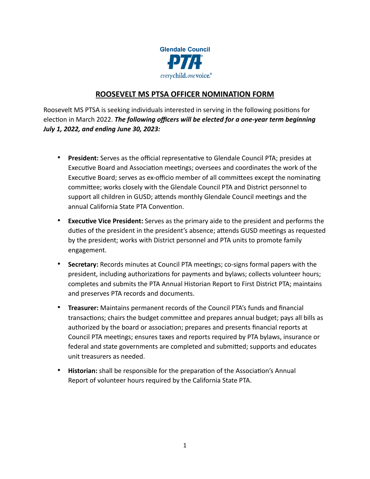

## **ROOSEVELT MS PTSA OFFICER NOMINATION FORM**

Roosevelt MS PTSA is seeking individuals interested in serving in the following positions for election in March 2022. *The following officers will be elected for a one-year term beginning July 1, 2022, and ending June 30, 2023:*

- **President:** Serves as the official representative to Glendale Council PTA; presides at Executive Board and Association meetings; oversees and coordinates the work of the Executive Board; serves as ex-officio member of all committees except the nominating committee; works closely with the Glendale Council PTA and District personnel to support all children in GUSD; attends monthly Glendale Council meetings and the annual California State PTA Convention.
- **Executive Vice President:** Serves as the primary aide to the president and performs the duties of the president in the president's absence; attends GUSD meetings as requested by the president; works with District personnel and PTA units to promote family engagement.
- **Secretary:** Records minutes at Council PTA meetings; co-signs formal papers with the president, including authorizations for payments and bylaws; collects volunteer hours; completes and submits the PTA Annual Historian Report to First District PTA; maintains and preserves PTA records and documents.
- **Treasurer:** Maintains permanent records of the Council PTA's funds and financial transactions; chairs the budget committee and prepares annual budget; pays all bills as authorized by the board or association; prepares and presents financial reports at Council PTA meetings; ensures taxes and reports required by PTA bylaws, insurance or federal and state governments are completed and submitted; supports and educates unit treasurers as needed.
- **Historian:** shall be responsible for the preparation of the Association's Annual Report of volunteer hours required by the California State PTA.